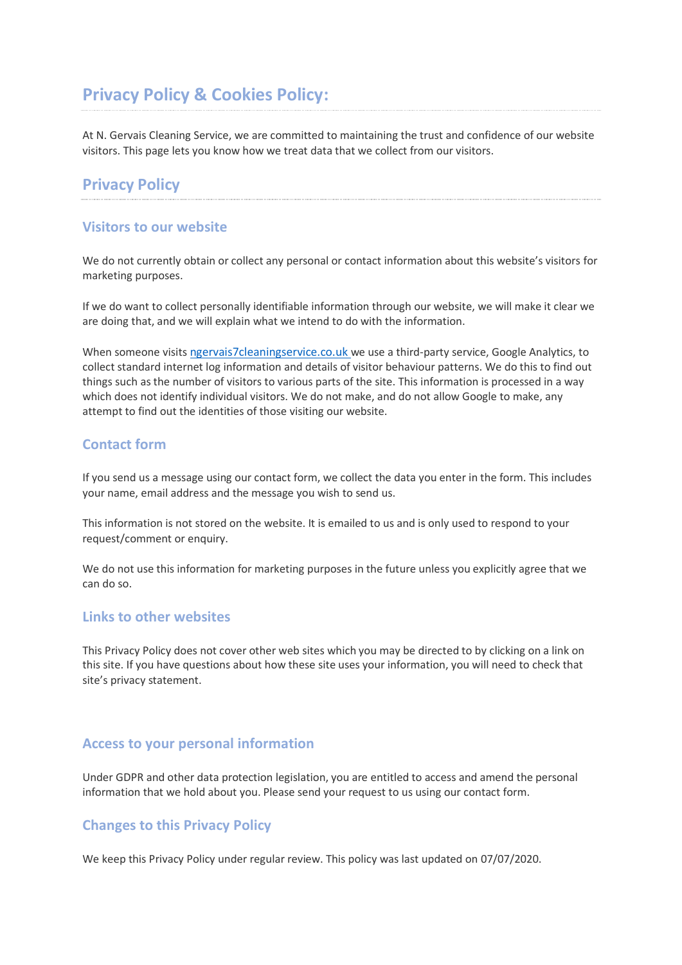# **Privacy Policy & Cookies Policy:**

At N. Gervais Cleaning Service, we are committed to maintaining the trust and confidence of our website visitors. This page lets you know how we treat data that we collect from our visitors.

# **Privacy Policy**

#### **Visitors to our website**

We do not currently obtain or collect any personal or contact information about this website's visitors for marketing purposes.

If we do want to collect personally identifiable information through our website, we will make it clear we are doing that, and we will explain what we intend to do with the information.

When someone visits [ngervais7cleaningservice.co.uk](http://www.ngervais7cleaningservice.co.uk/) we use a third-party service, Google Analytics, to collect standard internet log information and details of visitor behaviour patterns. We do this to find out things such as the number of visitors to various parts of the site. This information is processed in a way which does not identify individual visitors. We do not make, and do not allow Google to make, any attempt to find out the identities of those visiting our website.

#### **Contact form**

If you send us a message using our contact form, we collect the data you enter in the form. This includes your name, email address and the message you wish to send us.

This information is not stored on the website. It is emailed to us and is only used to respond to your request/comment or enquiry.

We do not use this information for marketing purposes in the future unless you explicitly agree that we can do so.

### **Links to other websites**

This Privacy Policy does not cover other web sites which you may be directed to by clicking on a link on this site. If you have questions about how these site uses your information, you will need to check that site's privacy statement.

#### **Access to your personal information**

Under GDPR and other data protection legislation, you are entitled to access and amend the personal information that we hold about you. Please send your request to us using our contact form.

#### **Changes to this Privacy Policy**

We keep this Privacy Policy under regular review. This policy was last updated on 07/07/2020.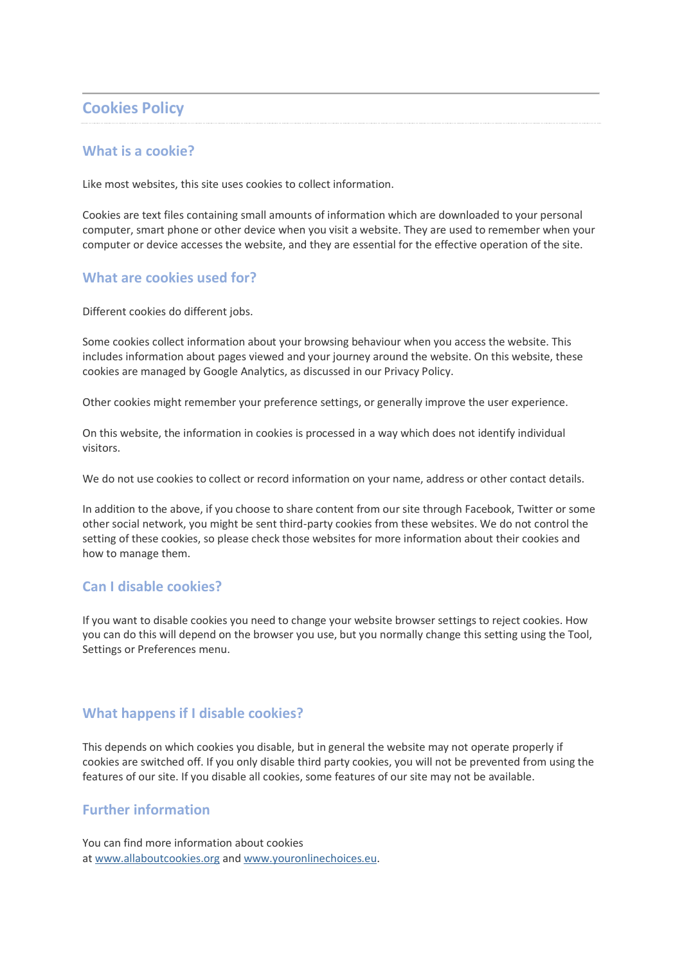# **Cookies Policy**

### **What is a cookie?**

Like most websites, this site uses cookies to collect information.

Cookies are text files containing small amounts of information which are downloaded to your personal computer, smart phone or other device when you visit a website. They are used to remember when your computer or device accesses the website, and they are essential for the effective operation of the site.

#### **What are cookies used for?**

Different cookies do different jobs.

Some cookies collect information about your browsing behaviour when you access the website. This includes information about pages viewed and your journey around the website. On this website, these cookies are managed by Google Analytics, as discussed in our Privacy Policy.

Other cookies might remember your preference settings, or generally improve the user experience.

On this website, the information in cookies is processed in a way which does not identify individual visitors.

We do not use cookies to collect or record information on your name, address or other contact details.

In addition to the above, if you choose to share content from our site through Facebook, Twitter or some other social network, you might be sent third-party cookies from these websites. We do not control the setting of these cookies, so please check those websites for more information about their cookies and how to manage them.

### **Can I disable cookies?**

If you want to disable cookies you need to change your website browser settings to reject cookies. How you can do this will depend on the browser you use, but you normally change this setting using the Tool, Settings or Preferences menu.

### **What happens if I disable cookies?**

This depends on which cookies you disable, but in general the website may not operate properly if cookies are switched off. If you only disable third party cookies, you will not be prevented from using the features of our site. If you disable all cookies, some features of our site may not be available.

### **Further information**

You can find more information about cookies at [www.allaboutcookies.org](http://www.allaboutcookies.org/) and [www.youronlinechoices.eu.](http://www.youronlinechoices.eu/)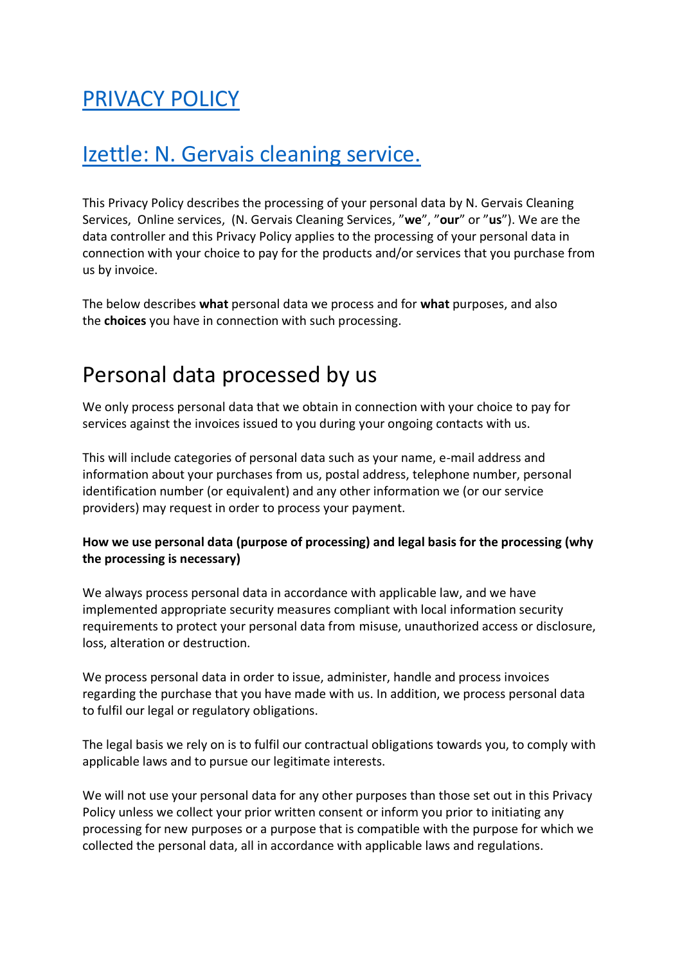# [PRIVACY POLICY](http://www.ngervais7cleaningservice.co.uk/)

# Izettle: N. Gervais cleaning service.

This Privacy Policy describes the processing of your personal data by N. Gervais Cleaning Services, Online services, (N. Gervais Cleaning Services, "**we**", "**our**" or "**us**"). We are the data controller and this Privacy Policy applies to the processing of your personal data in connection with your choice to pay for the products and/or services that you purchase from us by invoice.

The below describes **what** personal data we process and for **what** purposes, and also the **choices** you have in connection with such processing.

# Personal data processed by us

We only process personal data that we obtain in connection with your choice to pay for services against the invoices issued to you during your ongoing contacts with us.

This will include categories of personal data such as your name, e-mail address and information about your purchases from us, postal address, telephone number, personal identification number (or equivalent) and any other information we (or our service providers) may request in order to process your payment.

## **How we use personal data (purpose of processing) and legal basis for the processing (why the processing is necessary)**

We always process personal data in accordance with applicable law, and we have implemented appropriate security measures compliant with local information security requirements to protect your personal data from misuse, unauthorized access or disclosure, loss, alteration or destruction.

We process personal data in order to issue, administer, handle and process invoices regarding the purchase that you have made with us. In addition, we process personal data to fulfil our legal or regulatory obligations.

The legal basis we rely on is to fulfil our contractual obligations towards you, to comply with applicable laws and to pursue our legitimate interests.

We will not use your personal data for any other purposes than those set out in this Privacy Policy unless we collect your prior written consent or inform you prior to initiating any processing for new purposes or a purpose that is compatible with the purpose for which we collected the personal data, all in accordance with applicable laws and regulations.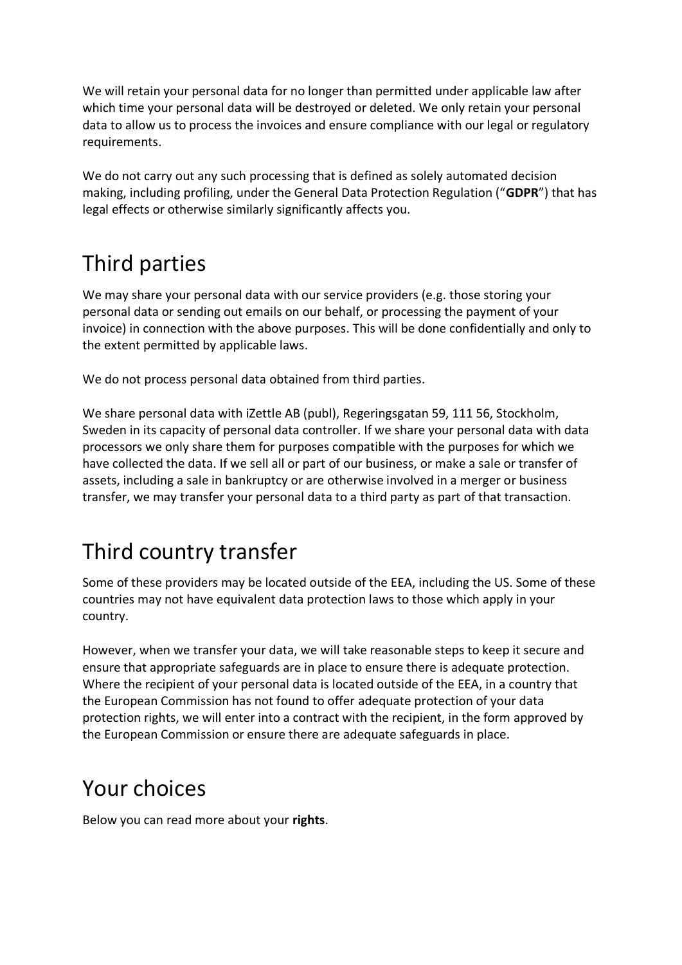We will retain your personal data for no longer than permitted under applicable law after which time your personal data will be destroyed or deleted. We only retain your personal data to allow us to process the invoices and ensure compliance with our legal or regulatory requirements.

We do not carry out any such processing that is defined as solely automated decision making, including profiling, under the General Data Protection Regulation ("**GDPR**") that has legal effects or otherwise similarly significantly affects you.

# Third parties

We may share your personal data with our service providers (e.g. those storing your personal data or sending out emails on our behalf, or processing the payment of your invoice) in connection with the above purposes. This will be done confidentially and only to the extent permitted by applicable laws.

We do not process personal data obtained from third parties.

We share personal data with iZettle AB (publ), Regeringsgatan 59, 111 56, Stockholm, Sweden in its capacity of personal data controller. If we share your personal data with data processors we only share them for purposes compatible with the purposes for which we have collected the data. If we sell all or part of our business, or make a sale or transfer of assets, including a sale in bankruptcy or are otherwise involved in a merger or business transfer, we may transfer your personal data to a third party as part of that transaction.

# Third country transfer

Some of these providers may be located outside of the EEA, including the US. Some of these countries may not have equivalent data protection laws to those which apply in your country.

However, when we transfer your data, we will take reasonable steps to keep it secure and ensure that appropriate safeguards are in place to ensure there is adequate protection. Where the recipient of your personal data is located outside of the EEA, in a country that the European Commission has not found to offer adequate protection of your data protection rights, we will enter into a contract with the recipient, in the form approved by the European Commission or ensure there are adequate safeguards in place.

# Your choices

Below you can read more about your **rights**.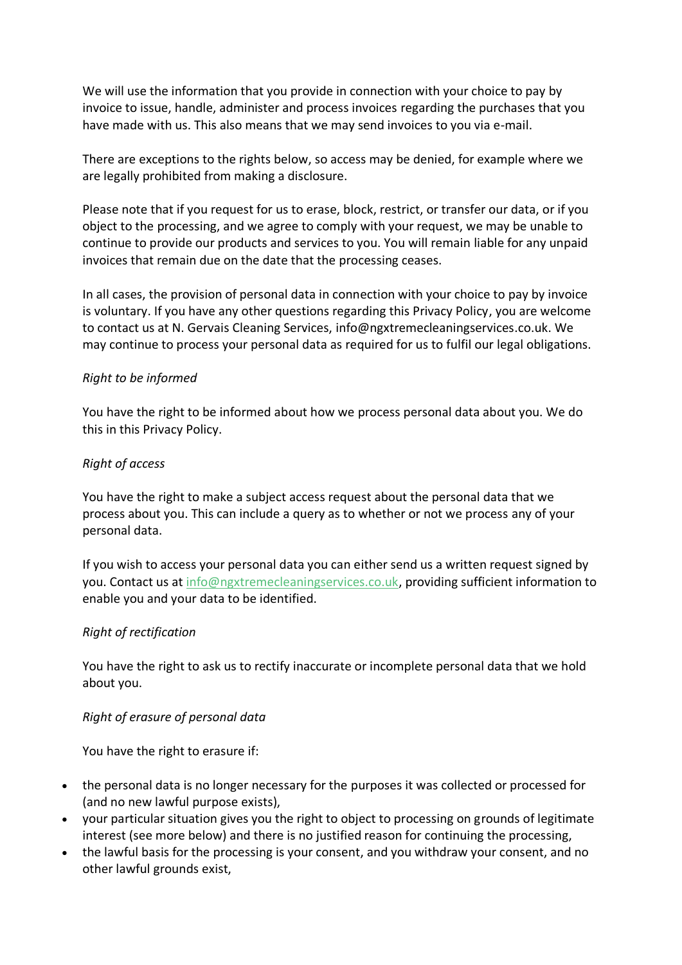We will use the information that you provide in connection with your choice to pay by invoice to issue, handle, administer and process invoices regarding the purchases that you have made with us. This also means that we may send invoices to you via e-mail.

There are exceptions to the rights below, so access may be denied, for example where we are legally prohibited from making a disclosure.

Please note that if you request for us to erase, block, restrict, or transfer our data, or if you object to the processing, and we agree to comply with your request, we may be unable to continue to provide our products and services to you. You will remain liable for any unpaid invoices that remain due on the date that the processing ceases.

In all cases, the provision of personal data in connection with your choice to pay by invoice is voluntary. If you have any other questions regarding this Privacy Policy, you are welcome to contact us at N. Gervais Cleaning Services, info@ngxtremecleaningservices.co.uk. We may continue to process your personal data as required for us to fulfil our legal obligations.

### *Right to be informed*

You have the right to be informed about how we process personal data about you. We do this in this Privacy Policy.

#### *Right of access*

You have the right to make a subject access request about the personal data that we process about you. This can include a query as to whether or not we process any of your personal data.

If you wish to access your personal data you can either send us a written request signed by you. Contact us at [info@ngxtremecleaningservices.co.uk,](mailto:info@ngxtremecleaningservices.co.uk) providing sufficient information to enable you and your data to be identified.

#### *Right of rectification*

You have the right to ask us to rectify inaccurate or incomplete personal data that we hold about you.

### *Right of erasure of personal data*

You have the right to erasure if:

- the personal data is no longer necessary for the purposes it was collected or processed for (and no new lawful purpose exists),
- your particular situation gives you the right to object to processing on grounds of legitimate interest (see more below) and there is no justified reason for continuing the processing,
- the lawful basis for the processing is your consent, and you withdraw your consent, and no other lawful grounds exist,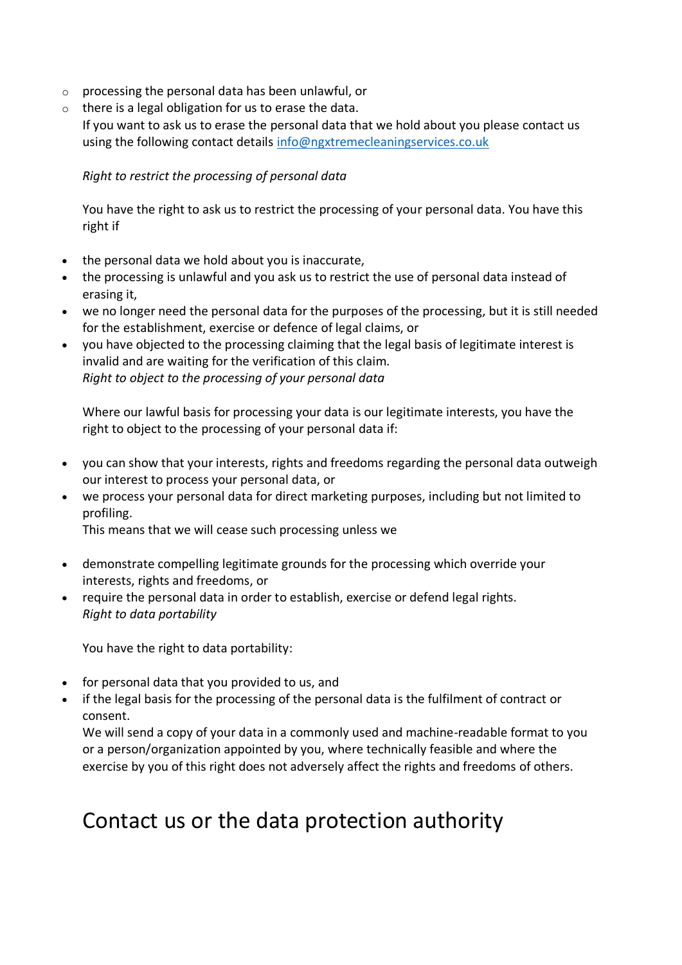- o processing the personal data has been unlawful, or
- $\circ$  there is a legal obligation for us to erase the data. If you want to ask us to erase the personal data that we hold about you please contact us using the following contact details [info@ngxtremecleaningservices.co.uk](mailto:info@ngxtremecleaningservices.co.uk)

# *Right to restrict the processing of personal data*

You have the right to ask us to restrict the processing of your personal data. You have this right if

- the personal data we hold about you is inaccurate,
- the processing is unlawful and you ask us to restrict the use of personal data instead of erasing it,
- we no longer need the personal data for the purposes of the processing, but it is still needed for the establishment, exercise or defence of legal claims, or
- you have objected to the processing claiming that the legal basis of legitimate interest is invalid and are waiting for the verification of this claim. *Right to object to the processing of your personal data*

Where our lawful basis for processing your data is our legitimate interests, you have the right to object to the processing of your personal data if:

- you can show that your interests, rights and freedoms regarding the personal data outweigh our interest to process your personal data, or
- we process your personal data for direct marketing purposes, including but not limited to profiling.

This means that we will cease such processing unless we

- demonstrate compelling legitimate grounds for the processing which override your interests, rights and freedoms, or
- require the personal data in order to establish, exercise or defend legal rights. *Right to data portability*

You have the right to data portability:

- for personal data that you provided to us, and
- if the legal basis for the processing of the personal data is the fulfilment of contract or consent.

We will send a copy of your data in a commonly used and machine-readable format to you or a person/organization appointed by you, where technically feasible and where the exercise by you of this right does not adversely affect the rights and freedoms of others.

# Contact us or the data protection authority